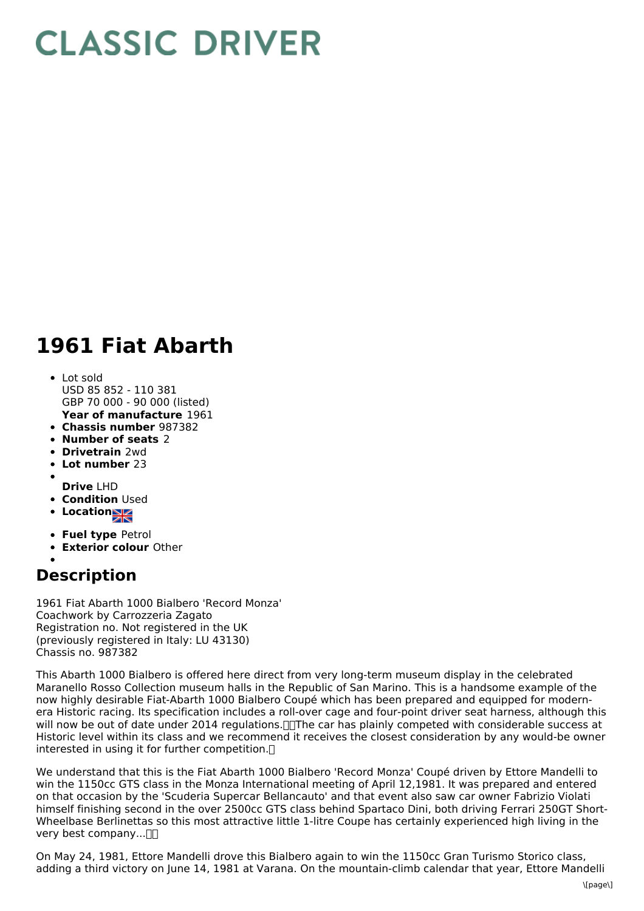## **CLASSIC DRIVER**

## **1961 Fiat Abarth**

- **Year of manufacture** 1961 Lot sold USD 85 852 - 110 381 GBP 70 000 - 90 000 (listed)
- **Chassis number** 987382
- **Number of seats** 2
- **Drivetrain** 2wd
- 
- **Lot number** 23
- **Drive** LHD
- **Condition Used**
- **Locations**
- **Fuel type** Petrol
- **Exterior colour** Other
- 

## **Description**

1961 Fiat Abarth 1000 Bialbero 'Record Monza' Coachwork by Carrozzeria Zagato Registration no. Not registered in the UK (previously registered in Italy: LU 43130) Chassis no. 987382

This Abarth 1000 Bialbero is offered here direct from very long-term museum display in the celebrated Maranello Rosso Collection museum halls in the Republic of San Marino. This is a handsome example of the now highly desirable Fiat-Abarth 1000 Bialbero Coupé which has been prepared and equipped for modernera Historic racing. Its specification includes a roll-over cage and four-point driver seat harness, although this will now be out of date under 2014 regulations. The car has plainly competed with considerable success at Historic level within its class and we recommend it receives the closest consideration by any would-be owner interested in using it for further competition.

We understand that this is the Fiat Abarth 1000 Bialbero 'Record Monza' Coupé driven by Ettore Mandelli to win the 1150cc GTS class in the Monza International meeting of April 12,1981. It was prepared and entered on that occasion by the 'Scuderia Supercar Bellancauto' and that event also saw car owner Fabrizio Violati himself finishing second in the over 2500cc GTS class behind Spartaco Dini, both driving Ferrari 250GT Short- Wheelbase Berlinettas so this most attractive little 1-litre Coupe has certainly experienced high living in the very best company... $\neg$ 

On May 24, 1981, Ettore Mandelli drove this Bialbero again to win the 1150cc Gran Turismo Storico class, adding a third victory on June 14, 1981 at Varana. On the mountain-climb calendar that year, Ettore Mandelli